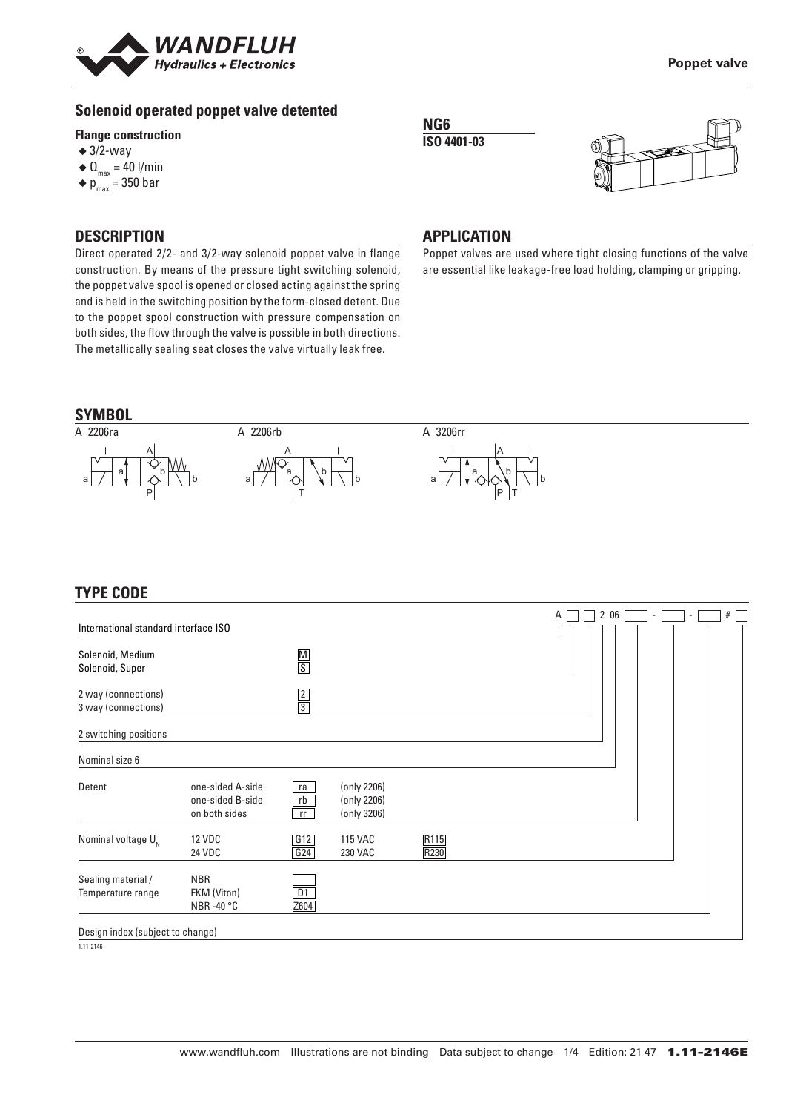

# **Solenoid operated poppet valve detented**

#### **Flange construction**

- $\triangleleft$  3/2-way
- $\triangleleft$  Q<sub>max</sub> = 40 l/min
- $\bullet$  p<sub>max</sub> = 350 bar

#### **DESCRIPTION**

Direct operated 2/2- and 3/2-way solenoid poppet valve in flange construction. By means of the pressure tight switching solenoid, the poppet valve spool is opened or closed acting against the spring and is held in the switching position by the form-closed detent. Due to the poppet spool construction with pressure compensation on both sides, the flow through the valve is possible in both directions. The metallically sealing seat closes the valve virtually leak free.

#### **NG6 ISO 4401-03**



#### **APPLICATION**

Poppet valves are used where tight closing functions of the valve are essential like leakage-free load holding, clamping or gripping.



# **TYPE CODE**

|                                            |                                                       |                |                                           |              | Α |  | 2 06 | $\overline{\phantom{a}}$ | $\sim$ | # |
|--------------------------------------------|-------------------------------------------------------|----------------|-------------------------------------------|--------------|---|--|------|--------------------------|--------|---|
| International standard interface ISO       |                                                       |                |                                           |              |   |  |      |                          |        |   |
| Solenoid, Medium<br>Solenoid, Super        |                                                       | $\frac{M}{S}$  |                                           |              |   |  |      |                          |        |   |
| 2 way (connections)<br>3 way (connections) |                                                       | $\frac{2}{3}$  |                                           |              |   |  |      |                          |        |   |
| 2 switching positions                      |                                                       |                |                                           |              |   |  |      |                          |        |   |
| Nominal size 6                             |                                                       |                |                                           |              |   |  |      |                          |        |   |
| Detent                                     | one-sided A-side<br>one-sided B-side<br>on both sides | ra<br>rb<br>rr | (only 2206)<br>(only 2206)<br>(only 3206) |              |   |  |      |                          |        |   |
| Nominal voltage $U_{N}$                    | <b>12 VDC</b><br>24 VDC                               | G12<br>G24     | <b>115 VAC</b><br>230 VAC                 | R115<br>R230 |   |  |      |                          |        |   |
| Sealing material /<br>Temperature range    | <b>NBR</b><br>FKM (Viton)<br>NBR-40 °C                | D1<br>Z604     |                                           |              |   |  |      |                          |        |   |
| Design index (subject to change)           |                                                       |                |                                           |              |   |  |      |                          |        |   |

 $1.11 - 2146$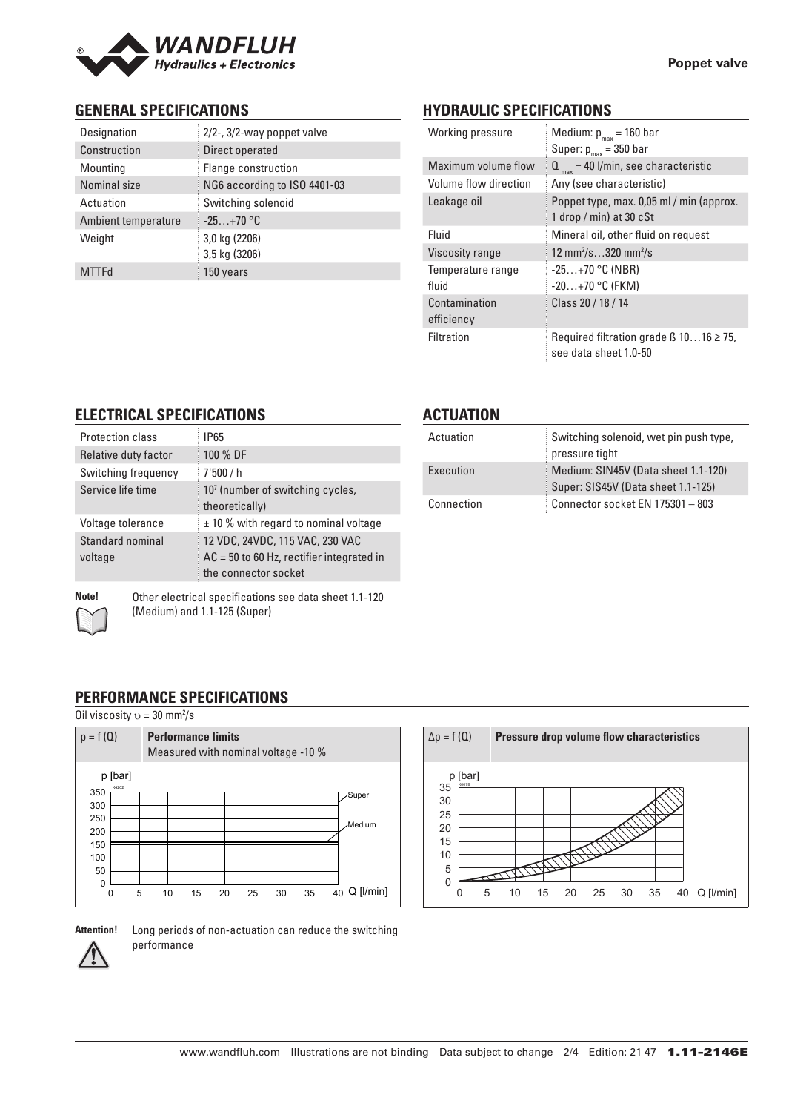

# **GENERAL SPECIFICATIONS**

| Designation         | 2/2-, 3/2-way poppet valve   |
|---------------------|------------------------------|
| Construction        | Direct operated              |
| Mounting            | Flange construction          |
| Nominal size        | NG6 according to ISO 4401-03 |
| Actuation           | Switching solenoid           |
| Ambient temperature | $-25+70$ °C                  |
| Weight              | 3,0 kg (2206)                |
|                     | 3,5 kg (3206)                |
| <b>MTTFd</b>        | 150 years                    |

# **HYDRAULIC SPECIFICATIONS**

| Working pressure            | Medium: $p_{max}$ = 160 bar<br>Super: $p_{max}$ = 350 bar                  |
|-----------------------------|----------------------------------------------------------------------------|
| Maximum volume flow         | $Q_{\text{max}}$ = 40 l/min, see characteristic                            |
| Volume flow direction       | Any (see characteristic)                                                   |
| Leakage oil                 | Poppet type, max. 0,05 ml / min (approx.<br>1 drop / min) at 30 $cSt$      |
| Fluid                       | Mineral oil, other fluid on request                                        |
| Viscosity range             | 12 mm <sup>2</sup> /s320 mm <sup>2</sup> /s                                |
| Temperature range<br>fluid  | $-25+70$ °C (NBR)<br>$-20+70$ °C (FKM)                                     |
| Contamination<br>efficiency | Class 20 / 18 / 14                                                         |
| <b>Filtration</b>           | Required filtration grade $\beta$ 1016 $\geq$ 75,<br>see data sheet 1.0-50 |

# **ELECTRICAL SPECIFICATIONS**

| Protection class            | <b>IP65</b>                                                                                            |
|-----------------------------|--------------------------------------------------------------------------------------------------------|
| Relative duty factor        | 100 % DF                                                                                               |
| Switching frequency         | 7'500/h                                                                                                |
| Service life time           | 10 <sup>7</sup> (number of switching cycles,<br>theoretically)                                         |
| Voltage tolerance           | $±$ 10 % with regard to nominal voltage                                                                |
| Standard nominal<br>voltage | 12 VDC, 24VDC, 115 VAC, 230 VAC<br>$AC = 50$ to 60 Hz, rectifier integrated in<br>the connector socket |

**Note!** Other electrical specifications see data sheet 1.1-120

#### **ACTUATION**

| Actuation  | Switching solenoid, wet pin push type,<br>pressure tight                  |
|------------|---------------------------------------------------------------------------|
| Execution  | Medium: SIN45V (Data sheet 1.1-120)<br>Super: SIS45V (Data sheet 1.1-125) |
| Connection | Connector socket EN 175301 - 803                                          |

(Medium) and 1.1-125 (Super)

# **PERFORMANCE SPECIFICATIONS**

Oil viscosity  $v = 30$  mm<sup>2</sup>/s





**Attention!** Long periods of non-actuation can reduce the switching performance

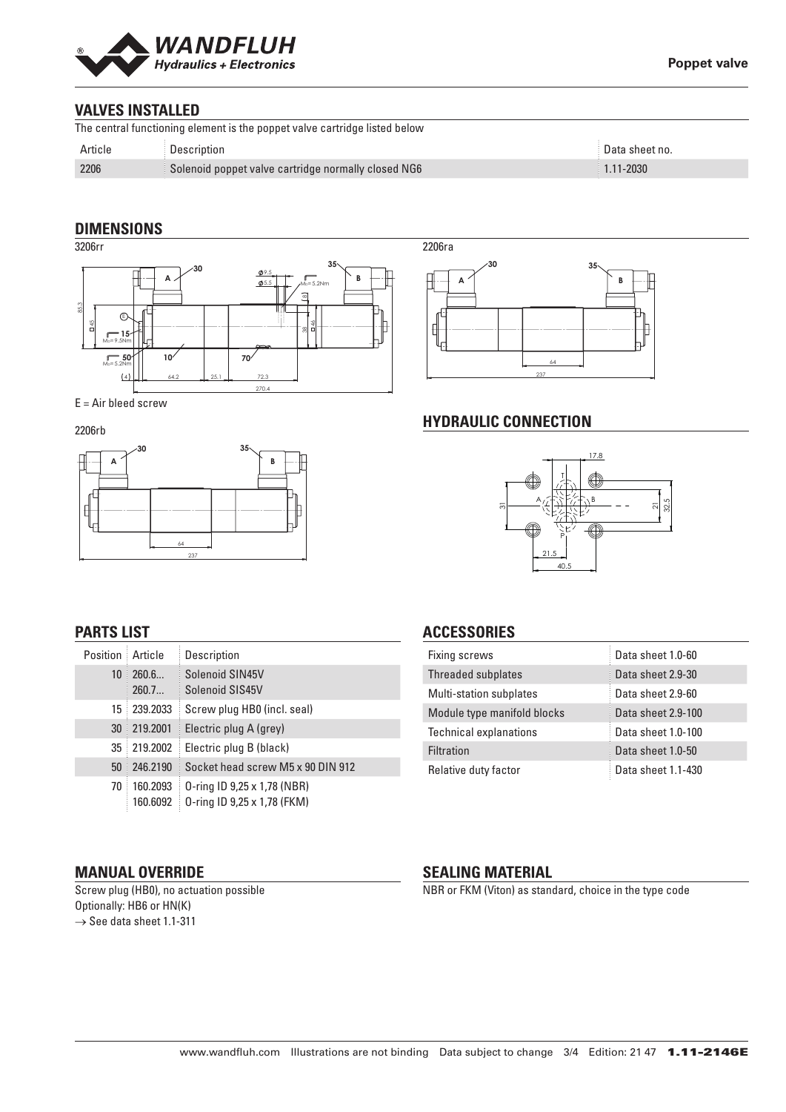

# **VALVES INSTALLED**

| The central functioning element is the poppet valve cartridge listed below |                                                     |                           |  |  |
|----------------------------------------------------------------------------|-----------------------------------------------------|---------------------------|--|--|
| Article                                                                    | Description                                         | $^{\circ}$ Data sheet no. |  |  |
| 2206                                                                       | Solenoid poppet valve cartridge normally closed NG6 | $1.11 - 2030$             |  |  |

#### **DIMENSIONS**



#### E = Air bleed screw

2206rb



# 64 237 **A B 30 35**

#### **HYDRAULIC CONNECTION**



# **PARTS LIST**

| Position Article |                      | Description                                                |
|------------------|----------------------|------------------------------------------------------------|
| 10               | 260.6<br>260.7       | Solenoid SIN45V<br>Solenoid SIS45V                         |
| 15               | 239.2033             | Screw plug HB0 (incl. seal)                                |
| 30               | 219,2001             | Electric plug A (grey)                                     |
| 35 <sup>1</sup>  | 219.2002             | Electric plug B (black)                                    |
| 50               | 246.2190             | Socket head screw M5 x 90 DIN 912                          |
| 70               | 160.2093<br>160.6092 | 0-ring ID 9,25 x 1,78 (NBR)<br>0-ring ID 9,25 x 1,78 (FKM) |

## **ACCESSORIES**

| <b>Fixing screws</b>           | Data sheet 1.0-60  |
|--------------------------------|--------------------|
| Threaded subplates             | Data sheet 2.9-30  |
| <b>Multi-station subplates</b> | Data sheet 2.9-60  |
| Module type manifold blocks    | Data sheet 2.9-100 |
| <b>Technical explanations</b>  | Data sheet 1.0-100 |
| <b>Filtration</b>              | Data sheet 1.0-50  |
| Relative duty factor           | Data sheet 1.1-430 |

#### **MANUAL OVERRIDE**

Screw plug (HB0), no actuation possible Optionally: HB6 or HN(K)  $\rightarrow$  See data sheet 1.1-311

#### **SEALING MATERIAL**

NBR or FKM (Viton) as standard, choice in the type code